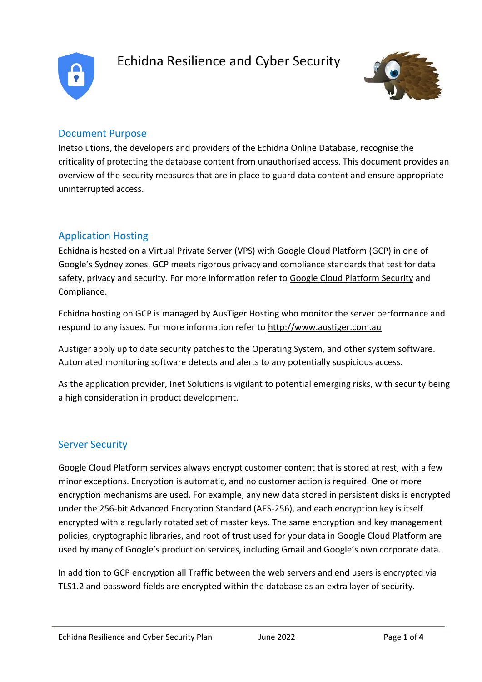

# Echidna Resilience and Cyber Security



### Document Purpose

Inetsolutions, the developers and providers of the Echidna Online Database, recognise the criticality of protecting the database content from unauthorised access. This document provides an overview of the security measures that are in place to guard data content and ensure appropriate uninterrupted access.

# Application Hosting

Echidna is hosted on a Virtual Private Server (VPS) with Google Cloud Platform (GCP) in one of Google's Sydney zones. GCP meets rigorous privacy and compliance standards that test for data safety, privacy and security. For more information refer to [Google Cloud Platform Security](https://cloud.google.com/security/)and [Compliance.](https://cloud.google.com/security/compliance)

Echidna hosting on GCP is managed by AusTiger Hosting who monitor the server performance and respond to any issues. For more information refer to [http://www.austiger.com.au](http://www.austiger.com.au/)

Austiger apply up to date security patches to the Operating System, and other system software. Automated monitoring software detects and alerts to any potentially suspicious access.

As the application provider, Inet Solutions is vigilant to potential emerging risks, with security being a high consideration in product development.

#### Server Security

Google Cloud Platform services always encrypt customer content that is stored at rest, with a few minor exceptions. Encryption is automatic, and no customer action is required. One or more encryption mechanisms are used. For example, any new data stored in persistent disks is encrypted under the 256-bit Advanced Encryption Standard (AES-256), and each encryption key is itself encrypted with a regularly rotated set of master keys. The same encryption and key management policies, cryptographic libraries, and root of trust used for your data in Google Cloud Platform are used by many of Google's production services, including Gmail and Google's own corporate data.

In addition to GCP encryption all Traffic between the web servers and end users is encrypted via TLS1.2 and password fields are encrypted within the database as an extra layer of security.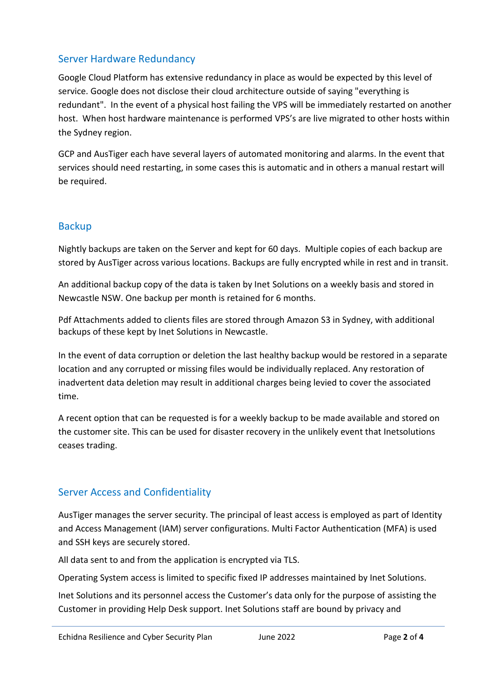## Server Hardware Redundancy

Google Cloud Platform has extensive redundancy in place as would be expected by this level of service. Google does not disclose their cloud architecture outside of saying "everything is redundant". In the event of a physical host failing the VPS will be immediately restarted on another host. When host hardware maintenance is performed VPS's are live migrated to other hosts within the Sydney region.

GCP and AusTiger each have several layers of automated monitoring and alarms. In the event that services should need restarting, in some cases this is automatic and in others a manual restart will be required.

#### **Backup**

Nightly backups are taken on the Server and kept for 60 days. Multiple copies of each backup are stored by AusTiger across various locations. Backups are fully encrypted while in rest and in transit.

An additional backup copy of the data is taken by Inet Solutions on a weekly basis and stored in Newcastle NSW. One backup per month is retained for 6 months.

Pdf Attachments added to clients files are stored through Amazon S3 in Sydney, with additional backups of these kept by Inet Solutions in Newcastle.

In the event of data corruption or deletion the last healthy backup would be restored in a separate location and any corrupted or missing files would be individually replaced. Any restoration of inadvertent data deletion may result in additional charges being levied to cover the associated time.

A recent option that can be requested is for a weekly backup to be made available and stored on the customer site. This can be used for disaster recovery in the unlikely event that Inetsolutions ceases trading.

#### Server Access and Confidentiality

AusTiger manages the server security. The principal of least access is employed as part of Identity and Access Management (IAM) server configurations. Multi Factor Authentication (MFA) is used and SSH keys are securely stored.

All data sent to and from the application is encrypted via TLS.

Operating System access is limited to specific fixed IP addresses maintained by Inet Solutions.

Inet Solutions and its personnel access the Customer's data only for the purpose of assisting the Customer in providing Help Desk support. Inet Solutions staff are bound by privacy and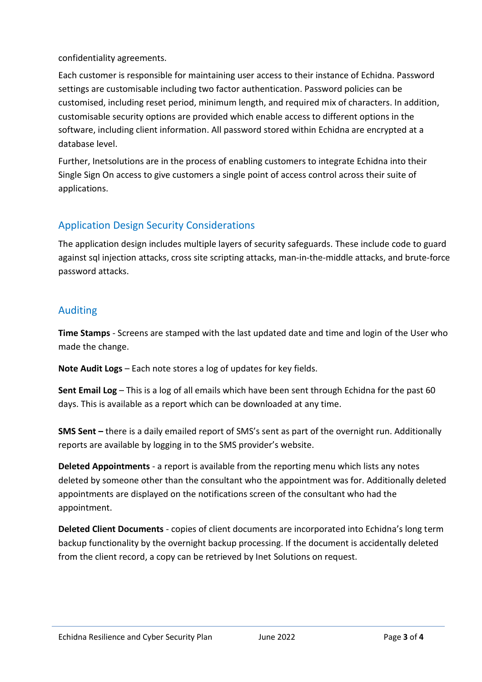confidentiality agreements.

Each customer is responsible for maintaining user access to their instance of Echidna. Password settings are customisable including two factor authentication. Password policies can be customised, including reset period, minimum length, and required mix of characters. In addition, customisable security options are provided which enable access to different options in the software, including client information. All password stored within Echidna are encrypted at a database level.

Further, Inetsolutions are in the process of enabling customers to integrate Echidna into their Single Sign On access to give customers a single point of access control across their suite of applications.

# Application Design Security Considerations

The application design includes multiple layers of security safeguards. These include code to guard against sql injection attacks, cross site scripting attacks, man-in-the-middle attacks, and brute-force password attacks.

## Auditing

**Time Stamps** - Screens are stamped with the last updated date and time and login of the User who made the change.

**Note Audit Logs** – Each note stores a log of updates for key fields.

**Sent Email Log** – This is a log of all emails which have been sent through Echidna for the past 60 days. This is available as a report which can be downloaded at any time.

**SMS Sent –** there is a daily emailed report of SMS's sent as part of the overnight run. Additionally reports are available by logging in to the SMS provider's website.

**Deleted Appointments** - a report is available from the reporting menu which lists any notes deleted by someone other than the consultant who the appointment was for. Additionally deleted appointments are displayed on the notifications screen of the consultant who had the appointment.

**Deleted Client Documents** - copies of client documents are incorporated into Echidna's long term backup functionality by the overnight backup processing. If the document is accidentally deleted from the client record, a copy can be retrieved by Inet Solutions on request.